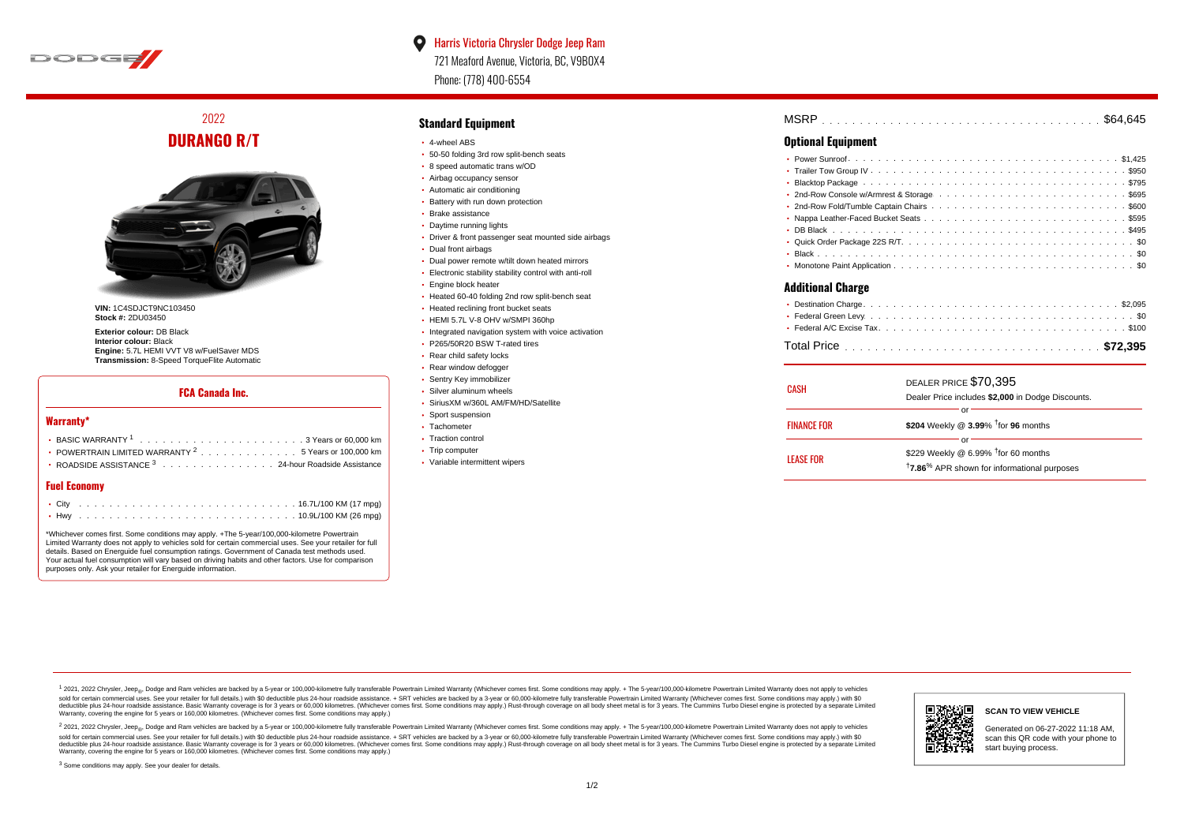

# 2022 **DURANGO R/T**



**VIN:** 1C4SDJCT9NC103450 **Stock #: 2DU03450** 

**Exterior colour:** DB Black **Interior colour:** Black **Engine:** 5.7L HEMI VVT V8 w/FuelSaver MDS **Transmission:** 8-Speed TorqueFlite Automatic

### **FCA Canada Inc.**

#### **Warranty\***

| • POWERTRAIN LIMITED WARRANTY $2 \ldots \ldots \ldots \ldots \ldots 5$ Years or 100,000 km |  |
|--------------------------------------------------------------------------------------------|--|
| • ROADSIDE ASSISTANCE 3 24-hour Roadside Assistance                                        |  |

### **Fuel Economy**

\*Whichever comes first. Some conditions may apply. +The 5-year/100,000-kilometre Powertrain Limited Warranty does not apply to vehicles sold for certain commercial uses. See your retailer for full details. Based on Energuide fuel consumption ratings. Government of Canada test methods used. Your actual fuel consumption will vary based on driving habits and other factors. Use for comparison purposes only. Ask your retailer for Energuide information.

#### **Standard Equipment**

- 4-wheel ABS
- 50-50 folding 3rd row split-bench seats
- 8 speed automatic trans w/OD
- Airbag occupancy sensor
- Automatic air conditioning
- Battery with run down protection Brake assistance
- 
- Daytime running lights
- Driver & front passenger seat mounted side airbags
- Dual front airbags
- Dual power remote w/tilt down heated mirrors
- Electronic stability stability control with anti-roll
- **Engine block heater**
- Heated 60-40 folding 2nd row split-bench seat
- Heated reclining front bucket seats
- HEMI 5.7L V-8 OHV w/SMPI 360hp
- Integrated navigation system with voice activation
- P265/50R20 BSW T-rated tires
- Rear child safety locks
- Rear window defogger
- **· Sentry Key immobilizer**
- Silver aluminum wheels
- SiriusXM w/360L AM/FM/HD/Satellite
- Sport suspension
- Tachometer
- Traction control
- Trip computer
- Variable intermittent wipers

| <b>MSRP</b> |  |  |  |  |  |  |  |  |  |  |  |  |  |  |  |  |  |  |  |  |  |  |  |  |  |
|-------------|--|--|--|--|--|--|--|--|--|--|--|--|--|--|--|--|--|--|--|--|--|--|--|--|--|
|             |  |  |  |  |  |  |  |  |  |  |  |  |  |  |  |  |  |  |  |  |  |  |  |  |  |

## **Optional Equipment**

### **Additional Charge**

| CASH               | DEALER PRICE \$70,395<br>Dealer Price includes \$2,000 in Dodge Discounts. |  |
|--------------------|----------------------------------------------------------------------------|--|
| <b>FINANCE FOR</b> | \$204 Weekly @ 3.99% <sup>†</sup> for 96 months                            |  |
|                    |                                                                            |  |
| <b>LEASE FOR</b>   | \$229 Weekly @ 6.99% <sup>†</sup> for 60 months                            |  |
|                    | <sup>†</sup> 7.86 <sup>%</sup> APR shown for informational purposes        |  |

1 2021, 2022 Chrysler, Jeep.... Dodge and Ram vehicles are backed by a 5-year or 100,000-kilometre fully transferable Powertrain Limited Warranty (Whichever comes first. Some conditions may apply. + The 5-year/100,000-kilo sold for certain commercial uses. See your retailer for full details.) with \$0 deductible plus 24-hour roadside assistance. + SRT vehicles are backed by a 3-year or 60,000-kilometre fully transferable Powertrain Limited Wa detuctible plus 24-hour roadside assistance. Basic Warranty coverage is for 3 years or 60,000 kilometres. Whichever comes first. Some conditions may apply.) Rust-through coverage on all body sheet metals for 3 years. The C Warranty, covering the engine for 5 years or 160,000 kilometres. (Whichever comes first. Some conditions may apply.)

<sup>2</sup> 2021, 2022 Chrysler, Jeep<sub>®</sub>, Dodge and Ram vehicles are backed by a 5-year or 100,000-kilometre fully transferable Powertrain Limited Warranty (Whichever comes first. Some conditions may apply. + The 5-year/100,000-ki sold for certain commercial uses. See your retailer for full details.) with \$0 deductible plus 24-hour roadside assistance. + SRT vehicles are backed by a 3-year or 60.000-kilometre fully transferable Powertrain Limited Wa deductible plus 24-hour roadside assistance. Basic Warranty coverage is for 3 years or 60,000 kilometres. (Whichever comes first. Some conditions may apply.) Rust-through coverage on all body sheet metal is for 3 years. Th



#### **SCAN TO VIEW VEHICLE**

Generated on 06-27-2022 11:18 AM, scan this QR code with your phone to start buying process.

<sup>3</sup> Some conditions may apply. See your dealer for details.